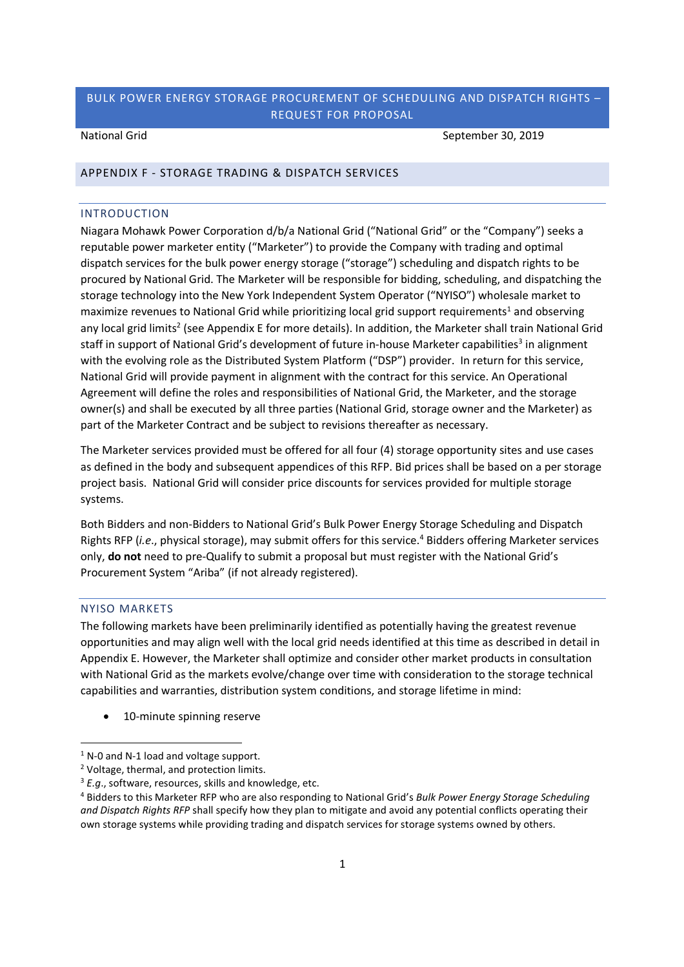National Grid September 30, 2019

#### APPENDIX F - STORAGE TRADING & DISPATCH SERVICES

### INTRODUCTION

Niagara Mohawk Power Corporation d/b/a National Grid ("National Grid" or the "Company") seeks a reputable power marketer entity ("Marketer") to provide the Company with trading and optimal dispatch services for the bulk power energy storage ("storage") scheduling and dispatch rights to be procured by National Grid. The Marketer will be responsible for bidding, scheduling, and dispatching the storage technology into the New York Independent System Operator ("NYISO") wholesale market to maximize revenues to National Grid while prioritizing local grid support requirements<sup>1</sup> and observing any local grid limits<sup>2</sup> (see Appendix E for more details). In addition, the Marketer shall train National Grid staff in support of National Grid's development of future in-house Marketer capabilities<sup>3</sup> in alignment with the evolving role as the Distributed System Platform ("DSP") provider. In return for this service, National Grid will provide payment in alignment with the contract for this service. An Operational Agreement will define the roles and responsibilities of National Grid, the Marketer, and the storage owner(s) and shall be executed by all three parties (National Grid, storage owner and the Marketer) as part of the Marketer Contract and be subject to revisions thereafter as necessary.

The Marketer services provided must be offered for all four (4) storage opportunity sites and use cases as defined in the body and subsequent appendices of this RFP. Bid prices shall be based on a per storage project basis. National Grid will consider price discounts for services provided for multiple storage systems.

Both Bidders and non-Bidders to National Grid's Bulk Power Energy Storage Scheduling and Dispatch Rights RFP (*i.e.*, physical storage), may submit offers for this service.<sup>4</sup> Bidders offering Marketer services only, **do not** need to pre-Qualify to submit a proposal but must register with the National Grid's Procurement System "Ariba" (if not already registered).

### NYISO MARKETS

The following markets have been preliminarily identified as potentially having the greatest revenue opportunities and may align well with the local grid needs identified at this time as described in detail in Appendix E. However, the Marketer shall optimize and consider other market products in consultation with National Grid as the markets evolve/change over time with consideration to the storage technical capabilities and warranties, distribution system conditions, and storage lifetime in mind:

10-minute spinning reserve

 $1$  N-0 and N-1 load and voltage support.

<sup>2</sup> Voltage, thermal, and protection limits.

<sup>&</sup>lt;sup>3</sup> *E.g.*, software, resources, skills and knowledge, etc.

<sup>4</sup> Bidders to this Marketer RFP who are also responding to National Grid's *Bulk Power Energy Storage Scheduling and Dispatch Rights RFP* shall specify how they plan to mitigate and avoid any potential conflicts operating their own storage systems while providing trading and dispatch services for storage systems owned by others.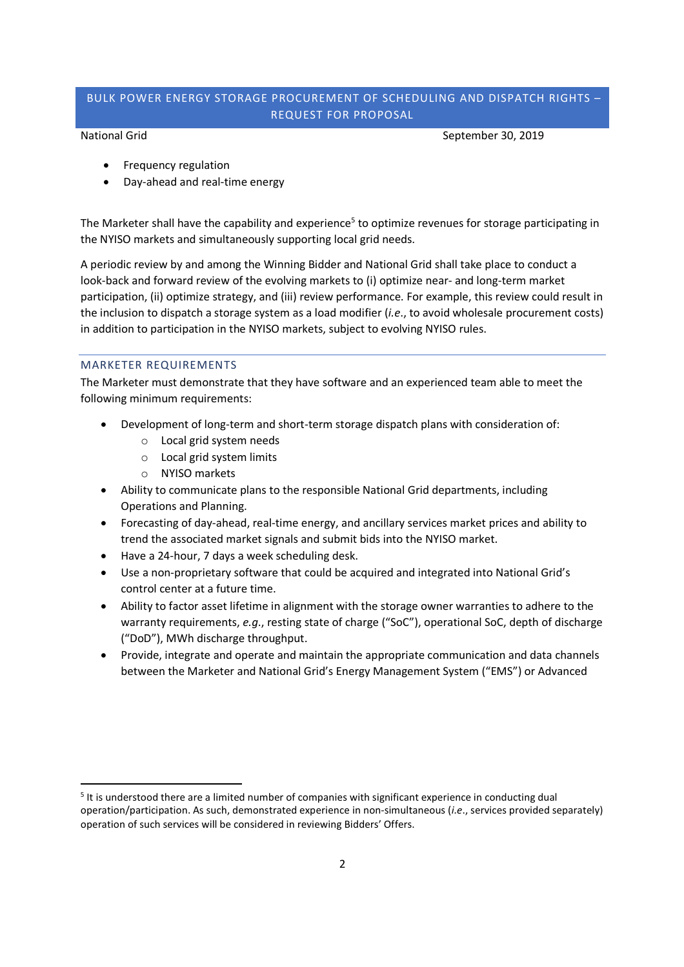National Grid September 30, 2019

- Frequency regulation
- Day-ahead and real-time energy

The Marketer shall have the capability and experience<sup>5</sup> to optimize revenues for storage participating in the NYISO markets and simultaneously supporting local grid needs.

A periodic review by and among the Winning Bidder and National Grid shall take place to conduct a look-back and forward review of the evolving markets to (i) optimize near- and long-term market participation, (ii) optimize strategy, and (iii) review performance. For example, this review could result in the inclusion to dispatch a storage system as a load modifier (*i.e*., to avoid wholesale procurement costs) in addition to participation in the NYISO markets, subject to evolving NYISO rules.

### MARKETER REQUIREMENTS

The Marketer must demonstrate that they have software and an experienced team able to meet the following minimum requirements:

- Development of long-term and short-term storage dispatch plans with consideration of:
	- o Local grid system needs
		- o Local grid system limits
		- o NYISO markets
- Ability to communicate plans to the responsible National Grid departments, including Operations and Planning.
- Forecasting of day-ahead, real-time energy, and ancillary services market prices and ability to trend the associated market signals and submit bids into the NYISO market.
- Have a 24-hour, 7 days a week scheduling desk.
- Use a non-proprietary software that could be acquired and integrated into National Grid's control center at a future time.
- Ability to factor asset lifetime in alignment with the storage owner warranties to adhere to the warranty requirements, *e.g*., resting state of charge ("SoC"), operational SoC, depth of discharge ("DoD"), MWh discharge throughput.
- Provide, integrate and operate and maintain the appropriate communication and data channels between the Marketer and National Grid's Energy Management System ("EMS") or Advanced

<sup>&</sup>lt;sup>5</sup> It is understood there are a limited number of companies with significant experience in conducting dual operation/participation. As such, demonstrated experience in non-simultaneous (*i.e*., services provided separately) operation of such services will be considered in reviewing Bidders' Offers.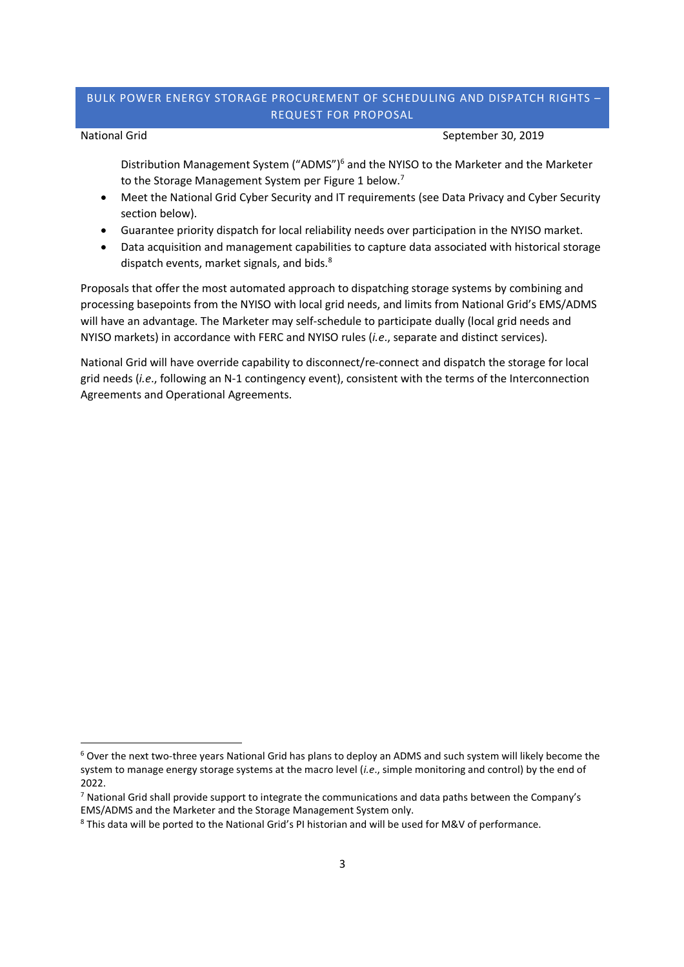National Grid September 30, 2019

Distribution Management System ("ADMS")<sup>6</sup> and the NYISO to the Marketer and the Marketer to the Storage Management System per Figure 1 below.<sup>7</sup>

- Meet the National Grid Cyber Security and IT requirements (see Data Privacy and Cyber Security section below).
- Guarantee priority dispatch for local reliability needs over participation in the NYISO market.
- Data acquisition and management capabilities to capture data associated with historical storage dispatch events, market signals, and bids.<sup>8</sup>

Proposals that offer the most automated approach to dispatching storage systems by combining and processing basepoints from the NYISO with local grid needs, and limits from National Grid's EMS/ADMS will have an advantage. The Marketer may self-schedule to participate dually (local grid needs and NYISO markets) in accordance with FERC and NYISO rules (*i.e*., separate and distinct services).

National Grid will have override capability to disconnect/re-connect and dispatch the storage for local grid needs (*i.e*., following an N-1 contingency event), consistent with the terms of the Interconnection Agreements and Operational Agreements.

<sup>6</sup> Over the next two-three years National Grid has plans to deploy an ADMS and such system will likely become the system to manage energy storage systems at the macro level (*i.e*., simple monitoring and control) by the end of 2022.

<sup>7</sup> National Grid shall provide support to integrate the communications and data paths between the Company's EMS/ADMS and the Marketer and the Storage Management System only.

<sup>8</sup> This data will be ported to the National Grid's PI historian and will be used for M&V of performance.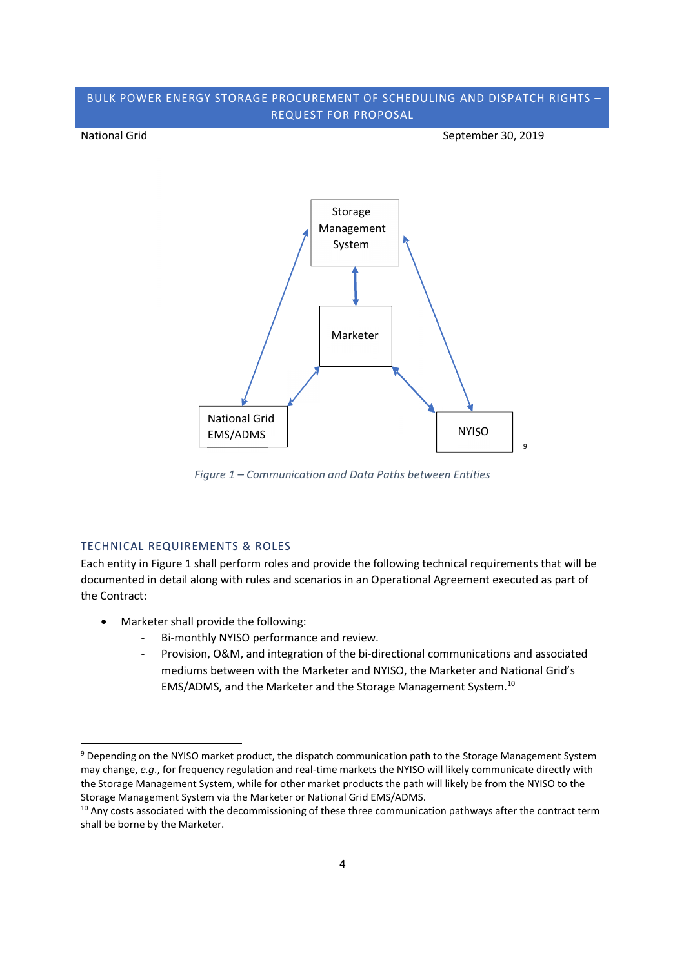National Grid September 30, 2019



*Figure 1 – Communication and Data Paths between Entities*

### TECHNICAL REQUIREMENTS & ROLES

Each entity in Figure 1 shall perform roles and provide the following technical requirements that will be documented in detail along with rules and scenarios in an Operational Agreement executed as part of the Contract:

- Marketer shall provide the following:
	- Bi-monthly NYISO performance and review.
	- Provision, O&M, and integration of the bi-directional communications and associated mediums between with the Marketer and NYISO, the Marketer and National Grid's EMS/ADMS, and the Marketer and the Storage Management System.<sup>10</sup>

<sup>9</sup> Depending on the NYISO market product, the dispatch communication path to the Storage Management System may change, *e.g*., for frequency regulation and real-time markets the NYISO will likely communicate directly with the Storage Management System, while for other market products the path will likely be from the NYISO to the Storage Management System via the Marketer or National Grid EMS/ADMS.

 $10$  Any costs associated with the decommissioning of these three communication pathways after the contract term shall be borne by the Marketer.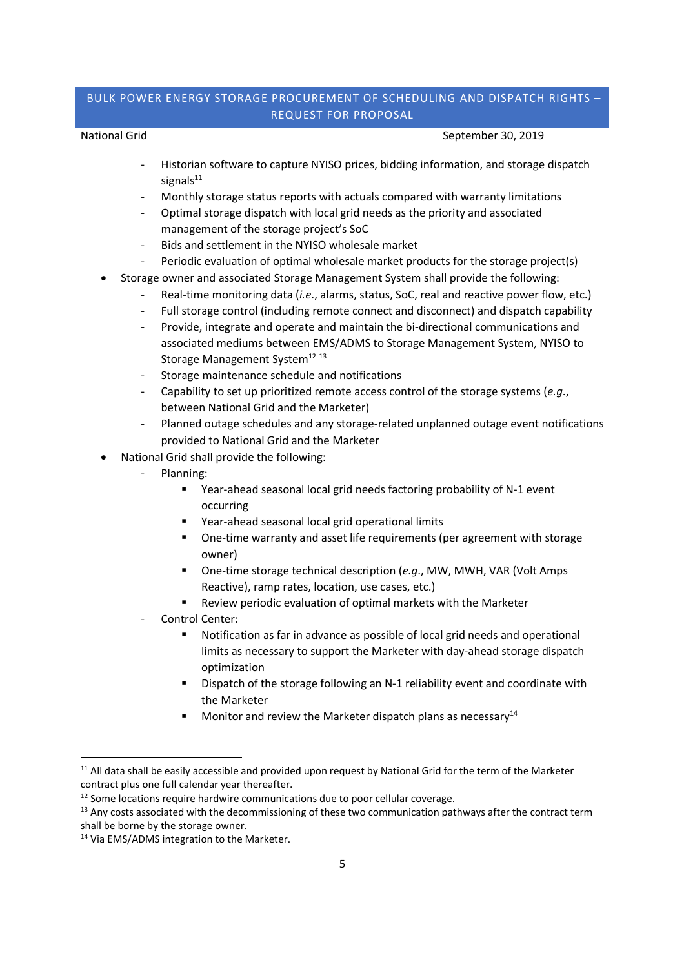#### National Grid September 30, 2019

- Historian software to capture NYISO prices, bidding information, and storage dispatch signal $s^{11}$
- Monthly storage status reports with actuals compared with warranty limitations
- Optimal storage dispatch with local grid needs as the priority and associated management of the storage project's SoC
- Bids and settlement in the NYISO wholesale market
- Periodic evaluation of optimal wholesale market products for the storage project(s)
- Storage owner and associated Storage Management System shall provide the following:
	- Real-time monitoring data (*i.e.*, alarms, status, SoC, real and reactive power flow, etc.)
	- Full storage control (including remote connect and disconnect) and dispatch capability
	- Provide, integrate and operate and maintain the bi-directional communications and associated mediums between EMS/ADMS to Storage Management System, NYISO to Storage Management System<sup>12 13</sup>
	- Storage maintenance schedule and notifications
	- Capability to set up prioritized remote access control of the storage systems (*e.g.*, between National Grid and the Marketer)
	- Planned outage schedules and any storage-related unplanned outage event notifications provided to National Grid and the Marketer
- National Grid shall provide the following:
	- Planning:
		- Year-ahead seasonal local grid needs factoring probability of N-1 event occurring
		- Year-ahead seasonal local grid operational limits
		- One-time warranty and asset life requirements (per agreement with storage owner)
		- One-time storage technical description (*e.g*., MW, MWH, VAR (Volt Amps Reactive), ramp rates, location, use cases, etc.)
		- Review periodic evaluation of optimal markets with the Marketer
	- Control Center:
		- Notification as far in advance as possible of local grid needs and operational limits as necessary to support the Marketer with day-ahead storage dispatch optimization
		- Dispatch of the storage following an N-1 reliability event and coordinate with the Marketer
		- Monitor and review the Marketer dispatch plans as necessary $^{14}$

<sup>&</sup>lt;sup>11</sup> All data shall be easily accessible and provided upon request by National Grid for the term of the Marketer contract plus one full calendar year thereafter.

<sup>&</sup>lt;sup>12</sup> Some locations require hardwire communications due to poor cellular coverage.

<sup>&</sup>lt;sup>13</sup> Any costs associated with the decommissioning of these two communication pathways after the contract term shall be borne by the storage owner.

<sup>&</sup>lt;sup>14</sup> Via EMS/ADMS integration to the Marketer.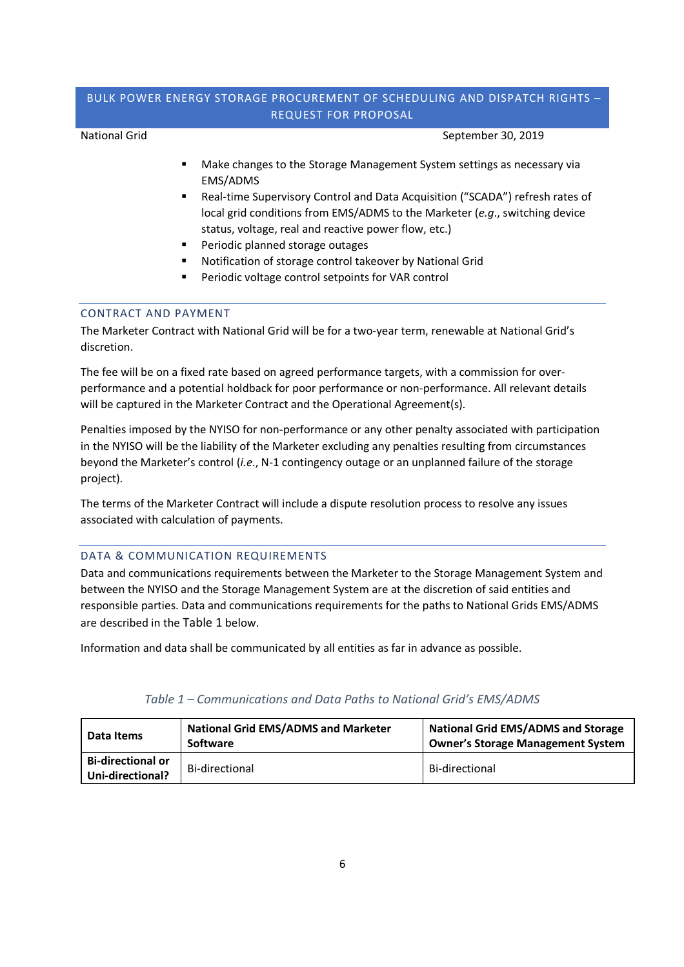National Grid September 30, 2019

- Make changes to the Storage Management System settings as necessary via EMS/ADMS
- Real-time Supervisory Control and Data Acquisition ("SCADA") refresh rates of local grid conditions from EMS/ADMS to the Marketer (*e.g*., switching device status, voltage, real and reactive power flow, etc.)
- Periodic planned storage outages
- Notification of storage control takeover by National Grid
- Periodic voltage control setpoints for VAR control

### CONTRACT AND PAYMENT

The Marketer Contract with National Grid will be for a two-year term, renewable at National Grid's discretion.

The fee will be on a fixed rate based on agreed performance targets, with a commission for overperformance and a potential holdback for poor performance or non-performance. All relevant details will be captured in the Marketer Contract and the Operational Agreement(s).

Penalties imposed by the NYISO for non-performance or any other penalty associated with participation in the NYISO will be the liability of the Marketer excluding any penalties resulting from circumstances beyond the Marketer's control (*i.e*., N-1 contingency outage or an unplanned failure of the storage project).

The terms of the Marketer Contract will include a dispute resolution process to resolve any issues associated with calculation of payments.

### DATA & COMMUNICATION REQUIREMENTS

Data and communications requirements between the Marketer to the Storage Management System and between the NYISO and the Storage Management System are at the discretion of said entities and responsible parties. Data and communications requirements for the paths to National Grids EMS/ADMS are described in the Table 1 below.

Information and data shall be communicated by all entities as far in advance as possible.

| l Data Items                                 | <b>National Grid EMS/ADMS and Marketer</b><br><b>Software</b> | <b>National Grid EMS/ADMS and Storage</b><br><b>Owner's Storage Management System</b> |
|----------------------------------------------|---------------------------------------------------------------|---------------------------------------------------------------------------------------|
| <b>Bi-directional or</b><br>Uni-directional? | Bi-directional                                                | Bi-directional                                                                        |

### *Table 1 – Communications and Data Paths to National Grid's EMS/ADMS*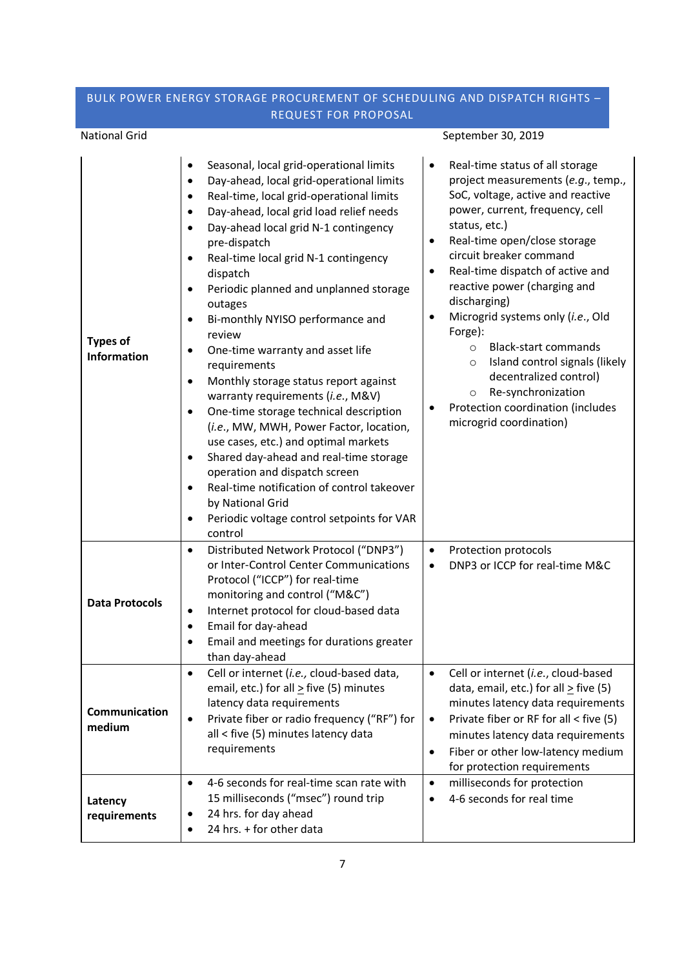# National Grid September 30, 2019

| <b>Types of</b><br><b>Information</b> | Seasonal, local grid-operational limits<br>٠<br>Day-ahead, local grid-operational limits<br>٠<br>Real-time, local grid-operational limits<br>Day-ahead, local grid load relief needs<br>Day-ahead local grid N-1 contingency<br>pre-dispatch<br>Real-time local grid N-1 contingency<br>$\bullet$<br>dispatch<br>Periodic planned and unplanned storage<br>outages<br>Bi-monthly NYISO performance and<br>$\bullet$<br>review<br>One-time warranty and asset life<br>٠<br>requirements<br>Monthly storage status report against<br>$\bullet$<br>warranty requirements (i.e., M&V)<br>One-time storage technical description<br>٠<br>(i.e., MW, MWH, Power Factor, location,<br>use cases, etc.) and optimal markets<br>Shared day-ahead and real-time storage<br>$\bullet$<br>operation and dispatch screen<br>Real-time notification of control takeover<br>by National Grid<br>Periodic voltage control setpoints for VAR<br>٠<br>control | Real-time status of all storage<br>project measurements (e.g., temp.,<br>SoC, voltage, active and reactive<br>power, current, frequency, cell<br>status, etc.)<br>Real-time open/close storage<br>$\bullet$<br>circuit breaker command<br>Real-time dispatch of active and<br>$\bullet$<br>reactive power (charging and<br>discharging)<br>Microgrid systems only (i.e., Old<br>٠<br>Forge):<br><b>Black-start commands</b><br>$\circ$<br>Island control signals (likely<br>$\circ$<br>decentralized control)<br>Re-synchronization<br>O<br>Protection coordination (includes<br>microgrid coordination) |
|---------------------------------------|---------------------------------------------------------------------------------------------------------------------------------------------------------------------------------------------------------------------------------------------------------------------------------------------------------------------------------------------------------------------------------------------------------------------------------------------------------------------------------------------------------------------------------------------------------------------------------------------------------------------------------------------------------------------------------------------------------------------------------------------------------------------------------------------------------------------------------------------------------------------------------------------------------------------------------------------|----------------------------------------------------------------------------------------------------------------------------------------------------------------------------------------------------------------------------------------------------------------------------------------------------------------------------------------------------------------------------------------------------------------------------------------------------------------------------------------------------------------------------------------------------------------------------------------------------------|
| <b>Data Protocols</b>                 | Distributed Network Protocol ("DNP3")<br>$\bullet$<br>or Inter-Control Center Communications<br>Protocol ("ICCP") for real-time<br>monitoring and control ("M&C")<br>Internet protocol for cloud-based data<br>$\bullet$<br>Email for day-ahead<br>٠<br>Email and meetings for durations greater<br>٠<br>than day-ahead                                                                                                                                                                                                                                                                                                                                                                                                                                                                                                                                                                                                                     | Protection protocols<br>$\bullet$<br>DNP3 or ICCP for real-time M&C                                                                                                                                                                                                                                                                                                                                                                                                                                                                                                                                      |
| Communication<br>medium               | Cell or internet (i.e., cloud-based data,<br>email, etc.) for all $\geq$ five (5) minutes<br>latency data requirements<br>Private fiber or radio frequency ("RF") for<br>$\bullet$<br>all < five (5) minutes latency data<br>requirements                                                                                                                                                                                                                                                                                                                                                                                                                                                                                                                                                                                                                                                                                                   | Cell or internet (i.e., cloud-based<br>data, email, etc.) for all $\geq$ five (5)<br>minutes latency data requirements<br>Private fiber or RF for all < five (5)<br>$\bullet$<br>minutes latency data requirements<br>Fiber or other low-latency medium<br>$\bullet$<br>for protection requirements                                                                                                                                                                                                                                                                                                      |
| Latency<br>requirements               | 4-6 seconds for real-time scan rate with<br>$\bullet$<br>15 milliseconds ("msec") round trip<br>24 hrs. for day ahead<br>$\bullet$<br>24 hrs. + for other data<br>٠                                                                                                                                                                                                                                                                                                                                                                                                                                                                                                                                                                                                                                                                                                                                                                         | milliseconds for protection<br>$\bullet$<br>4-6 seconds for real time<br>$\bullet$                                                                                                                                                                                                                                                                                                                                                                                                                                                                                                                       |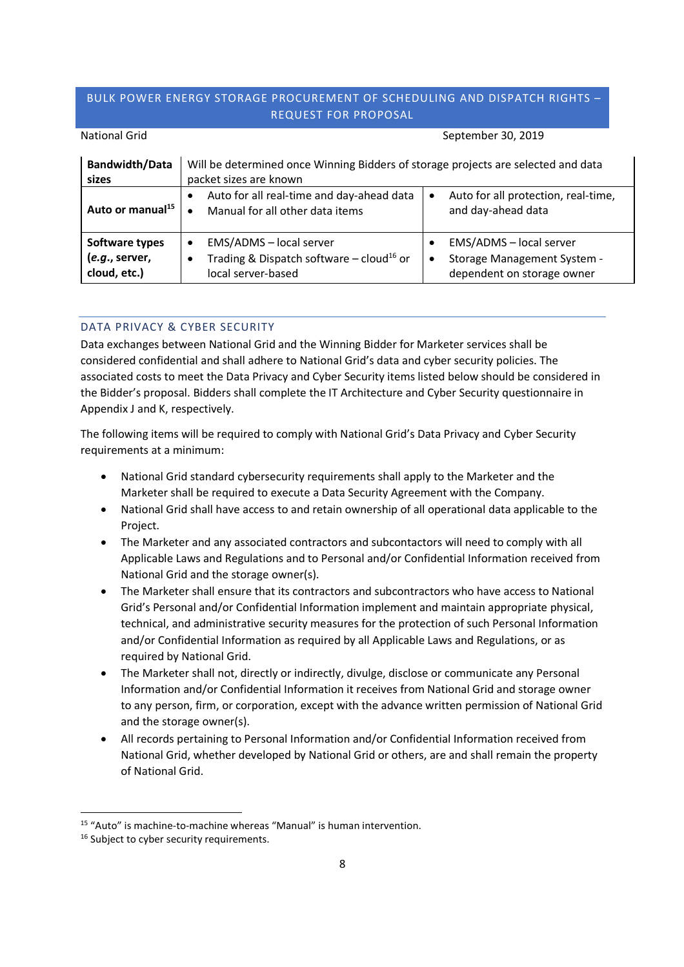| <b>Bandwidth/Data</b><br>sizes                   | Will be determined once Winning Bidders of storage projects are selected and data<br>packet sizes are known                       |                                                                                           |
|--------------------------------------------------|-----------------------------------------------------------------------------------------------------------------------------------|-------------------------------------------------------------------------------------------|
| Auto or manual <sup>15</sup>                     | Auto for all real-time and day-ahead data<br>$\bullet$<br>Manual for all other data items                                         | Auto for all protection, real-time,<br>$\bullet$<br>and day-ahead data                    |
| Software types<br>(e.g., server,<br>cloud, etc.) | EMS/ADMS - local server<br>$\bullet$<br>Trading & Dispatch software $-$ cloud <sup>16</sup> or<br>$\bullet$<br>local server-based | EMS/ADMS - local server<br>Storage Management System -<br>٠<br>dependent on storage owner |

# National Grid September 30, 2019

## DATA PRIVACY & CYBER SECURITY

Data exchanges between National Grid and the Winning Bidder for Marketer services shall be considered confidential and shall adhere to National Grid's data and cyber security policies. The associated costs to meet the Data Privacy and Cyber Security items listed below should be considered in the Bidder's proposal. Bidders shall complete the IT Architecture and Cyber Security questionnaire in Appendix J and K, respectively.

The following items will be required to comply with National Grid's Data Privacy and Cyber Security requirements at a minimum:

- National Grid standard cybersecurity requirements shall apply to the Marketer and the Marketer shall be required to execute a Data Security Agreement with the Company.
- National Grid shall have access to and retain ownership of all operational data applicable to the Project.
- The Marketer and any associated contractors and subcontactors will need to comply with all Applicable Laws and Regulations and to Personal and/or Confidential Information received from National Grid and the storage owner(s).
- The Marketer shall ensure that its contractors and subcontractors who have access to National Grid's Personal and/or Confidential Information implement and maintain appropriate physical, technical, and administrative security measures for the protection of such Personal Information and/or Confidential Information as required by all Applicable Laws and Regulations, or as required by National Grid.
- The Marketer shall not, directly or indirectly, divulge, disclose or communicate any Personal Information and/or Confidential Information it receives from National Grid and storage owner to any person, firm, or corporation, except with the advance written permission of National Grid and the storage owner(s).
- All records pertaining to Personal Information and/or Confidential Information received from National Grid, whether developed by National Grid or others, are and shall remain the property of National Grid.

<sup>15</sup> "Auto" is machine-to-machine whereas "Manual" is human intervention.

<sup>&</sup>lt;sup>16</sup> Subject to cyber security requirements.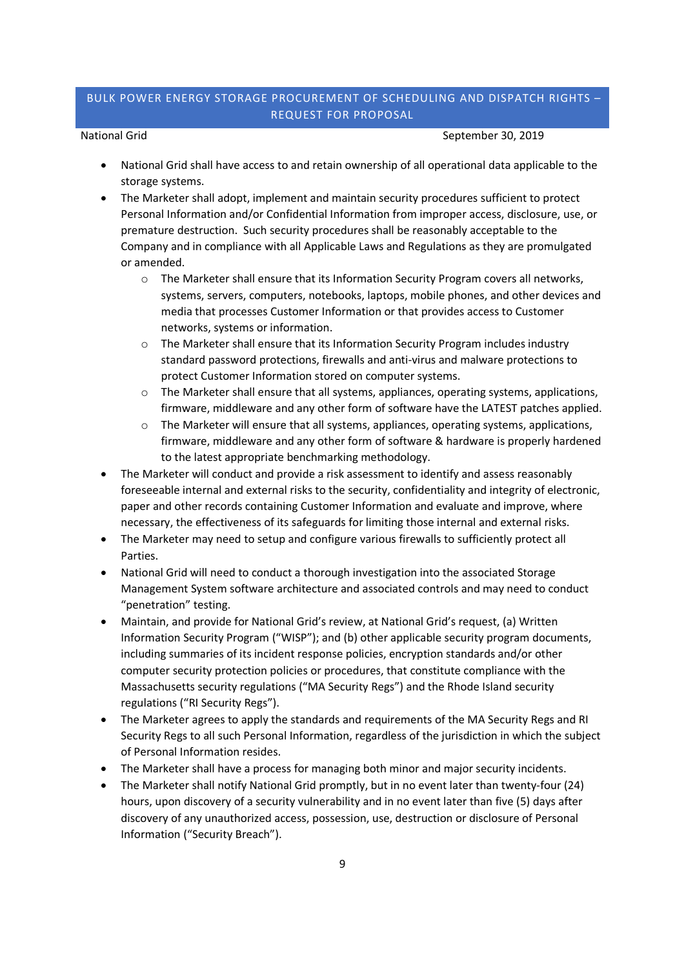National Grid September 30, 2019

- National Grid shall have access to and retain ownership of all operational data applicable to the storage systems.
- The Marketer shall adopt, implement and maintain security procedures sufficient to protect Personal Information and/or Confidential Information from improper access, disclosure, use, or premature destruction. Such security procedures shall be reasonably acceptable to the Company and in compliance with all Applicable Laws and Regulations as they are promulgated or amended.
	- o The Marketer shall ensure that its Information Security Program covers all networks, systems, servers, computers, notebooks, laptops, mobile phones, and other devices and media that processes Customer Information or that provides access to Customer networks, systems or information.
	- o The Marketer shall ensure that its Information Security Program includes industry standard password protections, firewalls and anti-virus and malware protections to protect Customer Information stored on computer systems.
	- o The Marketer shall ensure that all systems, appliances, operating systems, applications, firmware, middleware and any other form of software have the LATEST patches applied.
	- $\circ$  The Marketer will ensure that all systems, appliances, operating systems, applications, firmware, middleware and any other form of software & hardware is properly hardened to the latest appropriate benchmarking methodology.
- The Marketer will conduct and provide a risk assessment to identify and assess reasonably foreseeable internal and external risks to the security, confidentiality and integrity of electronic, paper and other records containing Customer Information and evaluate and improve, where necessary, the effectiveness of its safeguards for limiting those internal and external risks.
- The Marketer may need to setup and configure various firewalls to sufficiently protect all Parties.
- National Grid will need to conduct a thorough investigation into the associated Storage Management System software architecture and associated controls and may need to conduct "penetration" testing.
- Maintain, and provide for National Grid's review, at National Grid's request, (a) Written Information Security Program ("WISP"); and (b) other applicable security program documents, including summaries of its incident response policies, encryption standards and/or other computer security protection policies or procedures, that constitute compliance with the Massachusetts security regulations ("MA Security Regs") and the Rhode Island security regulations ("RI Security Regs").
- The Marketer agrees to apply the standards and requirements of the MA Security Regs and RI Security Regs to all such Personal Information, regardless of the jurisdiction in which the subject of Personal Information resides.
- The Marketer shall have a process for managing both minor and major security incidents.
- The Marketer shall notify National Grid promptly, but in no event later than twenty-four (24) hours, upon discovery of a security vulnerability and in no event later than five (5) days after discovery of any unauthorized access, possession, use, destruction or disclosure of Personal Information ("Security Breach").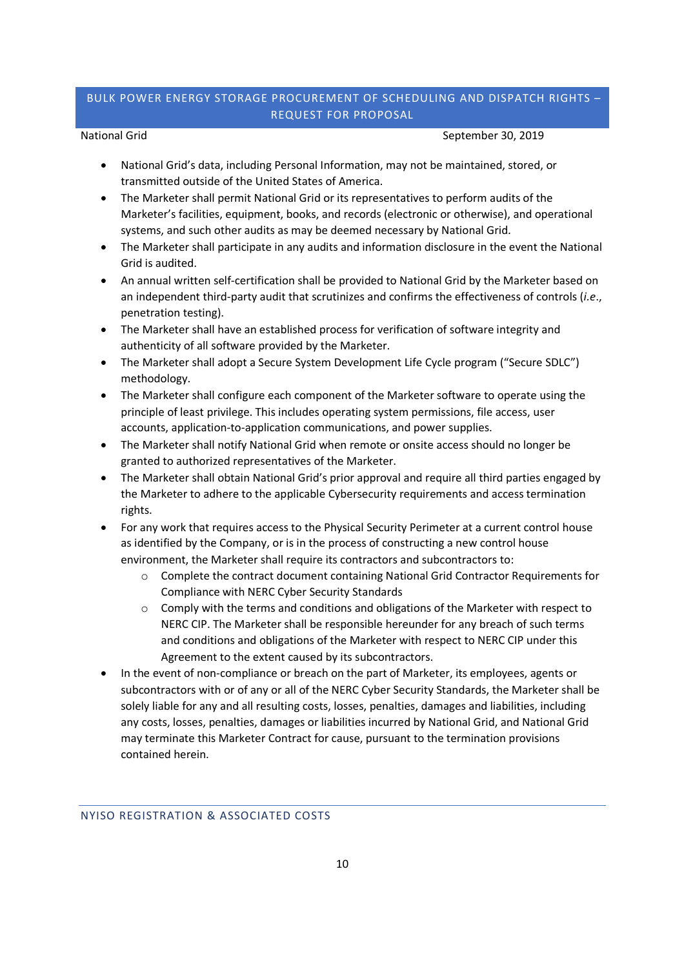National Grid September 30, 2019

- National Grid's data, including Personal Information, may not be maintained, stored, or transmitted outside of the United States of America.
- The Marketer shall permit National Grid or its representatives to perform audits of the Marketer's facilities, equipment, books, and records (electronic or otherwise), and operational systems, and such other audits as may be deemed necessary by National Grid.
- The Marketer shall participate in any audits and information disclosure in the event the National Grid is audited.
- An annual written self-certification shall be provided to National Grid by the Marketer based on an independent third-party audit that scrutinizes and confirms the effectiveness of controls (*i.e*., penetration testing).
- The Marketer shall have an established process for verification of software integrity and authenticity of all software provided by the Marketer.
- The Marketer shall adopt a Secure System Development Life Cycle program ("Secure SDLC") methodology.
- The Marketer shall configure each component of the Marketer software to operate using the principle of least privilege. This includes operating system permissions, file access, user accounts, application-to-application communications, and power supplies.
- The Marketer shall notify National Grid when remote or onsite access should no longer be granted to authorized representatives of the Marketer.
- The Marketer shall obtain National Grid's prior approval and require all third parties engaged by the Marketer to adhere to the applicable Cybersecurity requirements and access termination rights.
- For any work that requires access to the Physical Security Perimeter at a current control house as identified by the Company, or is in the process of constructing a new control house environment, the Marketer shall require its contractors and subcontractors to:
	- $\circ$  Complete the contract document containing National Grid Contractor Requirements for Compliance with NERC Cyber Security Standards
	- o Comply with the terms and conditions and obligations of the Marketer with respect to NERC CIP. The Marketer shall be responsible hereunder for any breach of such terms and conditions and obligations of the Marketer with respect to NERC CIP under this Agreement to the extent caused by its subcontractors.
- In the event of non-compliance or breach on the part of Marketer, its employees, agents or subcontractors with or of any or all of the NERC Cyber Security Standards, the Marketer shall be solely liable for any and all resulting costs, losses, penalties, damages and liabilities, including any costs, losses, penalties, damages or liabilities incurred by National Grid, and National Grid may terminate this Marketer Contract for cause, pursuant to the termination provisions contained herein.

### NYISO REGISTRATION & ASSOCIATED COSTS